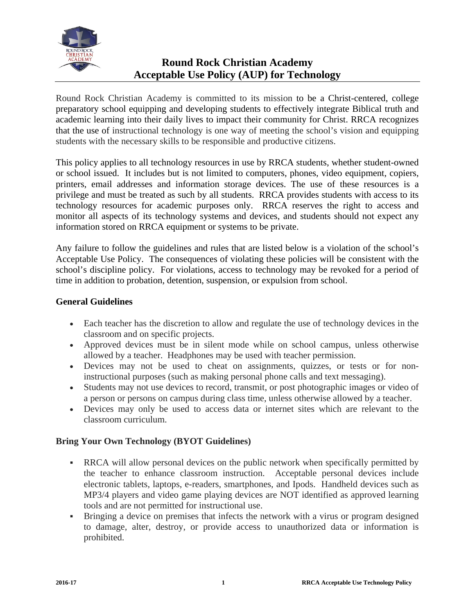

# **Round Rock Christian Academy Acceptable Use Policy (AUP) for Technology**

Round Rock Christian Academy is committed to its mission to be a Christ-centered, college preparatory school equipping and developing students to effectively integrate Biblical truth and academic learning into their daily lives to impact their community for Christ. RRCA recognizes that the use of instructional technology is one way of meeting the school's vision and equipping students with the necessary skills to be responsible and productive citizens.

This policy applies to all technology resources in use by RRCA students, whether student-owned or school issued. It includes but is not limited to computers, phones, video equipment, copiers, printers, email addresses and information storage devices. The use of these resources is a privilege and must be treated as such by all students. RRCA provides students with access to its technology resources for academic purposes only. RRCA reserves the right to access and monitor all aspects of its technology systems and devices, and students should not expect any information stored on RRCA equipment or systems to be private.

Any failure to follow the guidelines and rules that are listed below is a violation of the school's Acceptable Use Policy. The consequences of violating these policies will be consistent with the school's discipline policy. For violations, access to technology may be revoked for a period of time in addition to probation, detention, suspension, or expulsion from school.

# **General Guidelines**

- Each teacher has the discretion to allow and regulate the use of technology devices in the classroom and on specific projects.
- Approved devices must be in silent mode while on school campus, unless otherwise allowed by a teacher. Headphones may be used with teacher permission.
- Devices may not be used to cheat on assignments, quizzes, or tests or for noninstructional purposes (such as making personal phone calls and text messaging).
- Students may not use devices to record, transmit, or post photographic images or video of a person or persons on campus during class time, unless otherwise allowed by a teacher.
- Devices may only be used to access data or internet sites which are relevant to the classroom curriculum.

# **Bring Your Own Technology (BYOT Guidelines)**

- RRCA will allow personal devices on the public network when specifically permitted by the teacher to enhance classroom instruction. Acceptable personal devices include electronic tablets, laptops, e-readers, smartphones, and Ipods. Handheld devices such as MP3/4 players and video game playing devices are NOT identified as approved learning tools and are not permitted for instructional use.
- Bringing a device on premises that infects the network with a virus or program designed to damage, alter, destroy, or provide access to unauthorized data or information is prohibited.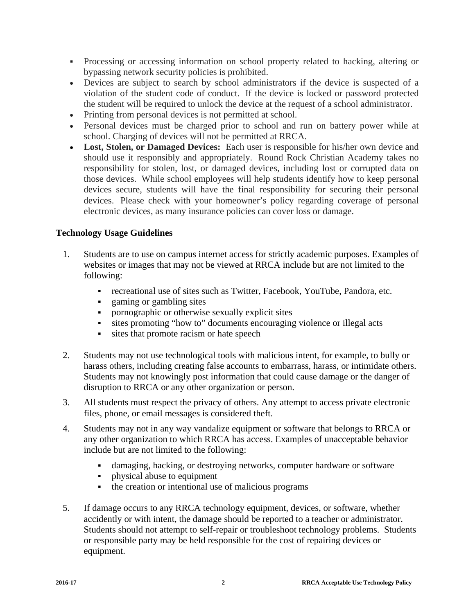- Processing or accessing information on school property related to hacking, altering or bypassing network security policies is prohibited.
- Devices are subject to search by school administrators if the device is suspected of a violation of the student code of conduct. If the device is locked or password protected the student will be required to unlock the device at the request of a school administrator.
- Printing from personal devices is not permitted at school.
- Personal devices must be charged prior to school and run on battery power while at school. Charging of devices will not be permitted at RRCA.
- **Lost, Stolen, or Damaged Devices:** Each user is responsible for his/her own device and should use it responsibly and appropriately. Round Rock Christian Academy takes no responsibility for stolen, lost, or damaged devices, including lost or corrupted data on those devices. While school employees will help students identify how to keep personal devices secure, students will have the final responsibility for securing their personal devices. Please check with your homeowner's policy regarding coverage of personal electronic devices, as many insurance policies can cover loss or damage.

### **Technology Usage Guidelines**

- 1. Students are to use on campus internet access for strictly academic purposes. Examples of websites or images that may not be viewed at RRCA include but are not limited to the following:
	- recreational use of sites such as Twitter, Facebook, YouTube, Pandora, etc.
	-
	- gaming or gambling sites<br>• nornographic or otherwise pornographic or otherwise sexually explicit sites
	- sites promoting "how to" documents encouraging violence or illegal acts
	- sites that promote racism or hate speech
- 2. Students may not use technological tools with malicious intent, for example, to bully or harass others, including creating false accounts to embarrass, harass, or intimidate others. Students may not knowingly post information that could cause damage or the danger of disruption to RRCA or any other organization or person.
- 3. All students must respect the privacy of others. Any attempt to access private electronic files, phone, or email messages is considered theft.
- 4. Students may not in any way vandalize equipment or software that belongs to RRCA or any other organization to which RRCA has access. Examples of unacceptable behavior include but are not limited to the following:
	- damaging, hacking, or destroying networks, computer hardware or software
	- physical abuse to equipment
	- the creation or intentional use of malicious programs
- 5. If damage occurs to any RRCA technology equipment, devices, or software, whether accidently or with intent, the damage should be reported to a teacher or administrator. Students should not attempt to self-repair or troubleshoot technology problems. Students or responsible party may be held responsible for the cost of repairing devices or equipment.